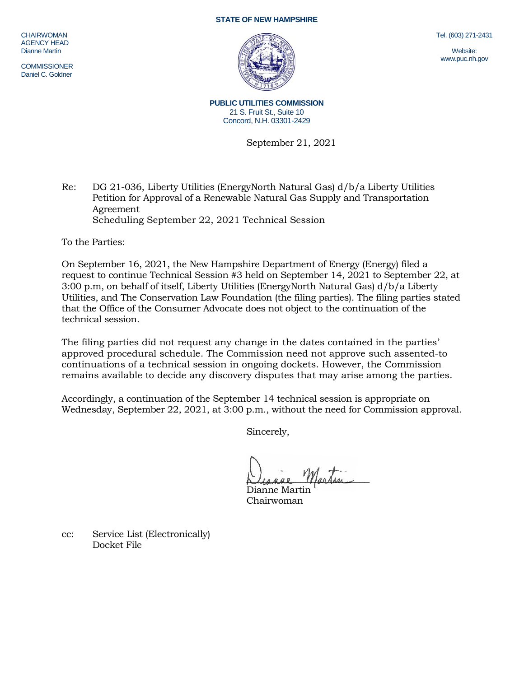## **STATE OF NEW HAMPSHIRE**

CHAIRWOMAN AGENCY HEAD Dianne Martin

**COMMISSIONER** Daniel C. Goldner

**PUBLIC UTILITIES COMMISSION** 21 S. Fruit St., Suite 10 Concord, N.H. 03301-2429

September 21, 2021

Re: DG 21-036, Liberty Utilities (EnergyNorth Natural Gas) d/b/a Liberty Utilities Petition for Approval of a Renewable Natural Gas Supply and Transportation Agreement Scheduling September 22, 2021 Technical Session

To the Parties:

On September 16, 2021, the New Hampshire Department of Energy (Energy) filed a request to continue Technical Session #3 held on September 14, 2021 to September 22, at 3:00 p.m, on behalf of itself, Liberty Utilities (EnergyNorth Natural Gas) d/b/a Liberty Utilities, and The Conservation Law Foundation (the filing parties). The filing parties stated that the Office of the Consumer Advocate does not object to the continuation of the technical session.

The filing parties did not request any change in the dates contained in the parties' approved procedural schedule. The Commission need not approve such assented-to continuations of a technical session in ongoing dockets. However, the Commission remains available to decide any discovery disputes that may arise among the parties.

Accordingly, a continuation of the September 14 technical session is appropriate on Wednesday, September 22, 2021, at 3:00 p.m., without the need for Commission approval.

Sincerely,

Diagne Martin

Dianne Martin Chairwoman

cc: Service List (Electronically) Docket File

Tel. (603) 271-2431

Website: www.puc.nh.gov